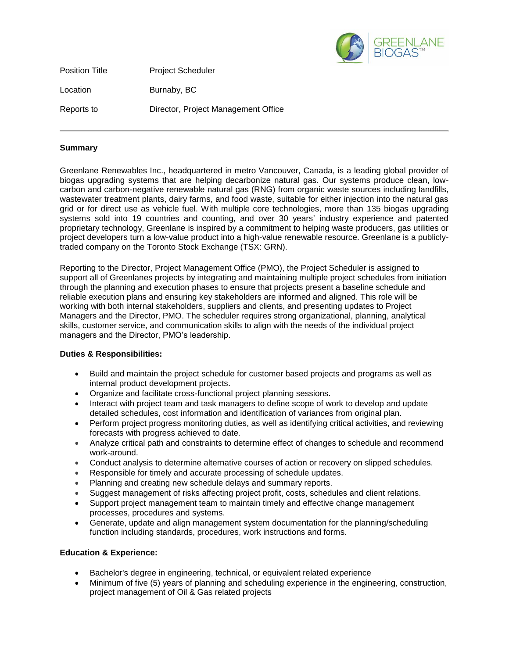

Position Title **Project Scheduler** Location Burnaby, BC Reports to Director, Project Management Office

## **Summary**

Greenlane Renewables Inc., headquartered in metro Vancouver, Canada, is a leading global provider of biogas upgrading systems that are helping decarbonize natural gas. Our systems produce clean, lowcarbon and carbon-negative renewable natural gas (RNG) from organic waste sources including landfills, wastewater treatment plants, dairy farms, and food waste, suitable for either injection into the natural gas grid or for direct use as vehicle fuel. With multiple core technologies, more than 135 biogas upgrading systems sold into 19 countries and counting, and over 30 years' industry experience and patented proprietary technology, Greenlane is inspired by a commitment to helping waste producers, gas utilities or project developers turn a low-value product into a high-value renewable resource. Greenlane is a publiclytraded company on the Toronto Stock Exchange (TSX: GRN).

Reporting to the Director, Project Management Office (PMO), the Project Scheduler is assigned to support all of Greenlanes projects by integrating and maintaining multiple project schedules from initiation through the planning and execution phases to ensure that projects present a baseline schedule and reliable execution plans and ensuring key stakeholders are informed and aligned. This role will be working with both internal stakeholders, suppliers and clients, and presenting updates to Project Managers and the Director, PMO. The scheduler requires strong organizational, planning, analytical skills, customer service, and communication skills to align with the needs of the individual project managers and the Director, PMO's leadership.

## **Duties & Responsibilities:**

- Build and maintain the project schedule for customer based projects and programs as well as internal product development projects.
- Organize and facilitate cross-functional project planning sessions.
- Interact with project team and task managers to define scope of work to develop and update detailed schedules, cost information and identification of variances from original plan.
- Perform project progress monitoring duties, as well as identifying critical activities, and reviewing forecasts with progress achieved to date.
- Analyze critical path and constraints to determine effect of changes to schedule and recommend work-around.
- Conduct analysis to determine alternative courses of action or recovery on slipped schedules.
- Responsible for timely and accurate processing of schedule updates.
- Planning and creating new schedule delays and summary reports.
- Suggest management of risks affecting project profit, costs, schedules and client relations.
- Support project management team to maintain timely and effective change management processes, procedures and systems.
- Generate, update and align management system documentation for the planning/scheduling function including standards, procedures, work instructions and forms.

## **Education & Experience:**

- Bachelor's degree in engineering, technical, or equivalent related experience
- Minimum of five (5) years of planning and scheduling experience in the engineering, construction, project management of Oil & Gas related projects